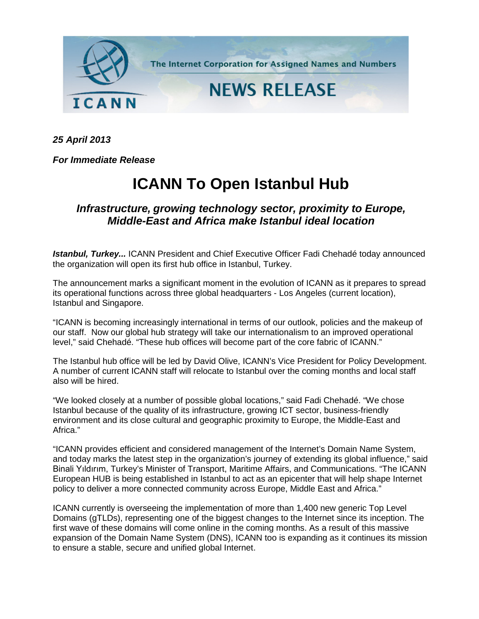

*25 April 2013*

*For Immediate Release*

## **ICANN To Open Istanbul Hub**

## *Infrastructure, growing technology sector, proximity to Europe, Middle-East and Africa make Istanbul ideal location*

*Istanbul, Turkey...* ICANN President and Chief Executive Officer Fadi Chehadé today announced the organization will open its first hub office in Istanbul, Turkey.

The announcement marks a significant moment in the evolution of ICANN as it prepares to spread its operational functions across three global headquarters - Los Angeles (current location), Istanbul and Singapore.

"ICANN is becoming increasingly international in terms of our outlook, policies and the makeup of our staff. Now our global hub strategy will take our internationalism to an improved operational level," said Chehadé. "These hub offices will become part of the core fabric of ICANN."

The Istanbul hub office will be led by David Olive, ICANN's Vice President for Policy Development. A number of current ICANN staff will relocate to Istanbul over the coming months and local staff also will be hired.

"We looked closely at a number of possible global locations," said Fadi Chehadé. "We chose Istanbul because of the quality of its infrastructure, growing ICT sector, business-friendly environment and its close cultural and geographic proximity to Europe, the Middle-East and Africa."

"ICANN provides efficient and considered management of the Internet's Domain Name System, and today marks the latest step in the organization's journey of extending its global influence," said Binali Yıldırım, Turkey's Minister of Transport, Maritime Affairs, and Communications. "The ICANN European HUB is being established in Istanbul to act as an epicenter that will help shape Internet policy to deliver a more connected community across Europe, Middle East and Africa."

ICANN currently is overseeing the implementation of more than 1,400 new generic Top Level Domains (gTLDs), representing one of the biggest changes to the Internet since its inception. The first wave of these domains will come online in the coming months. As a result of this massive expansion of the Domain Name System (DNS), ICANN too is expanding as it continues its mission to ensure a stable, secure and unified global Internet.